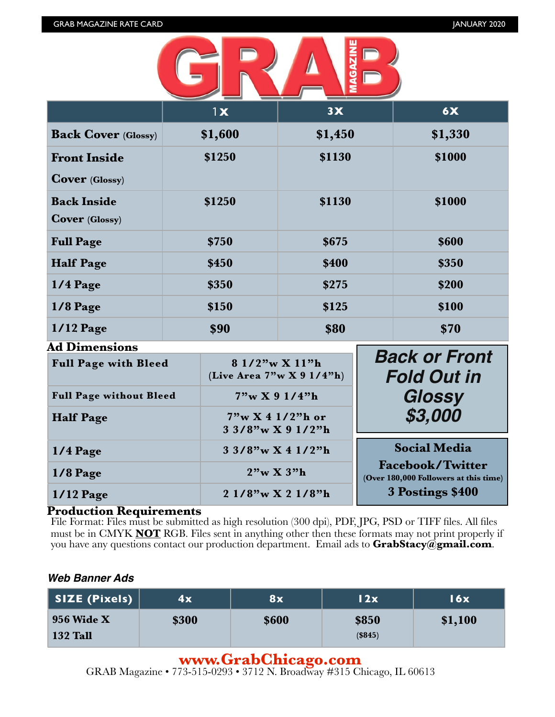

|                                              | 1x      | 3X      | 6X      |
|----------------------------------------------|---------|---------|---------|
| <b>Back Cover (Glossy)</b>                   | \$1,600 | \$1,450 | \$1,330 |
| <b>Front Inside</b><br><b>Cover</b> (Glossy) | \$1250  | \$1130  | \$1000  |
| <b>Back Inside</b><br><b>Cover</b> (Glossy)  | \$1250  | \$1130  | \$1000  |
| <b>Full Page</b>                             | \$750   | \$675   | \$600   |
| <b>Half Page</b>                             | \$450   | \$400   | \$350   |
| $1/4$ Page                                   | \$350   | \$275   | \$200   |
| $1/8$ Page                                   | \$150   | \$125   | \$100   |
| $1/12$ Page<br>Ad Dimensions                 | \$90    | \$80    | \$70    |

| AU DIMENSIONS                  |                                                |                                                                  |
|--------------------------------|------------------------------------------------|------------------------------------------------------------------|
| <b>Full Page with Bleed</b>    | 8 1/2"w X 11"h<br>(Live Area $7"w X 9 1/4"h$ ) | <b>Back or Front</b><br><b>Fold Out in</b>                       |
| <b>Full Page without Bleed</b> | 7"w X 9 1/4"h                                  | Glossy                                                           |
| <b>Half Page</b>               | 7"w X 4 1/2"h or<br>$3.3/8$ "w X 9 1/2"h       | \$3,000                                                          |
| $1/4$ Page                     | $33/8$ "w X 4 1/2"h                            | <b>Social Media</b>                                              |
| $1/8$ Page                     | $2"\text{w} X 3"\text{h}$                      | <b>Facebook/Twitter</b><br>(Over 180,000 Followers at this time) |
| $1/12$ Page                    | 2 1/8"w X 2 1/8"h                              | 3 Postings \$400                                                 |

### **Production Requirements**

File Format: Files must be submitted as high resolution (300 dpi), PDF, JPG, PSD or TIFF files. All files must be in CMYK **NOT** RGB. Files sent in anything other then these formats may not print properly if you have any questions contact our production department. Email ads to **[GrabStacy@gmail.com](mailto:GrabStacy@gmail.com)**.

### *Web Banner Ads*

| SIZE (Pixels)                        | 4x    | 8x    | 12x              | $\overline{\textbf{16x}}$ |
|--------------------------------------|-------|-------|------------------|---------------------------|
| <b>956 Wide X</b><br><b>132 Tall</b> | \$300 | \$600 | \$850<br>(\$845) | \$1,100                   |

### **[www.GrabChicago.com](http://www.GrabChicago.com)**

GRAB Magazine • 7[73-515-0293 • 3712 N. Broadway #315 Ch](http://www.GrabChicago.com)icago, IL 60613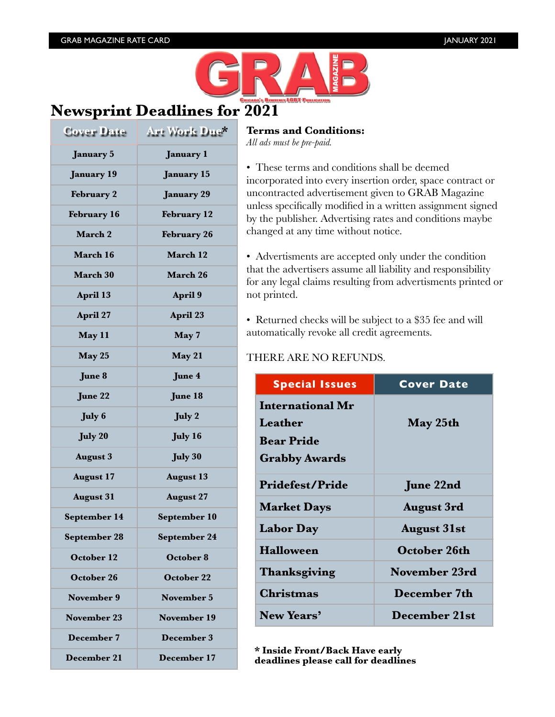

# **Newsprint Deadlines for 2021**

| Cover Date         | Art Work Due*      |
|--------------------|--------------------|
| <b>January 5</b>   | <b>January 1</b>   |
| <b>January 19</b>  | <b>January 15</b>  |
| <b>February 2</b>  | <b>January 29</b>  |
| <b>February 16</b> | <b>February</b> 12 |
| March 2            | <b>February 26</b> |
| March 16           | March 12           |
| March 30           | March 26           |
| April 13           | April 9            |
| April 27           | April 23           |
| May 11             | May 7              |
| May 25             | May 21             |
| June 8             | June 4             |
| June 22            | June 18            |
| <b>July 6</b>      | July 2             |
| <b>July 20</b>     | <b>July 16</b>     |
| <b>August 3</b>    | <b>July 30</b>     |
| <b>August 17</b>   | <b>August 13</b>   |
| <b>August 31</b>   | <b>August 27</b>   |
| September 14       | September 10       |
| September 28       | September 24       |
| <b>October 12</b>  | October 8          |
| October 26         | October 22         |
| <b>November 9</b>  | <b>November 5</b>  |
| <b>November 23</b> | November 19        |
| December 7         | <b>December 3</b>  |
| December 21        | December 17        |

### **Terms and Conditions:**

*All ads must be pre-paid.*

• These terms and conditions shall be deemed incorporated into every insertion order, space contract or uncontracted advertisement given to GRAB Magazine unless specifically modified in a written assignment signed by the publisher. Advertising rates and conditions maybe changed at any time without notice.

• Advertisments are accepted only under the condition that the advertisers assume all liability and responsibility for any legal claims resulting from advertisments printed or not printed.

• Returned checks will be subject to a \$35 fee and will automatically revoke all credit agreements.

### THERE ARE NO REFUNDS.

| <b>Special Issues</b>   | <b>Cover Date</b>    |
|-------------------------|----------------------|
| <b>International Mr</b> |                      |
| Leather                 | May 25th             |
| <b>Bear Pride</b>       |                      |
| <b>Grabby Awards</b>    |                      |
| <b>Pridefest/Pride</b>  | <b>June 22nd</b>     |
| <b>Market Days</b>      | <b>August 3rd</b>    |
| <b>Labor Day</b>        | <b>August 31st</b>   |
| <b>Halloween</b>        | <b>October 26th</b>  |
| Thanksgiving            | November 23rd        |
| Christmas               | December 7th         |
| New Years'              | <b>December 21st</b> |

**\* Inside Front/Back Have early deadlines please call for deadlines**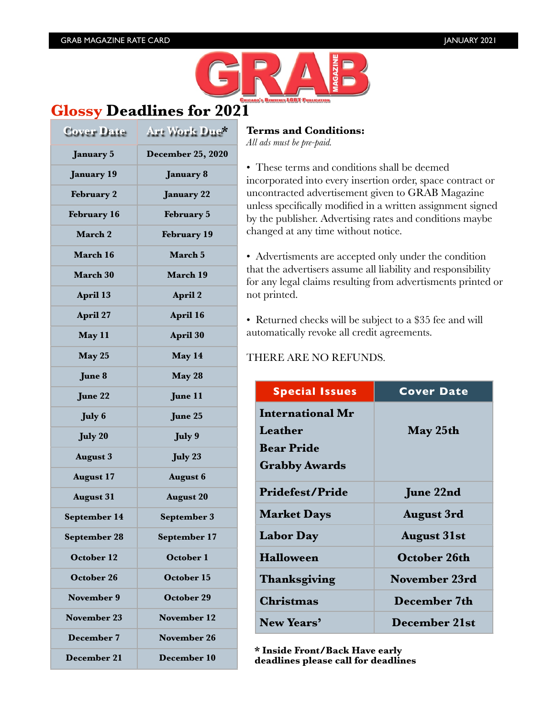

## **Glossy Deadlines for 2021**

| Cover Date          | Art Work Due*            |
|---------------------|--------------------------|
| <b>January 5</b>    | <b>December 25, 2020</b> |
| <b>January 19</b>   | <b>January 8</b>         |
| <b>February 2</b>   | <b>January 22</b>        |
| <b>February 16</b>  | February 5               |
| <b>March 2</b>      | <b>February 19</b>       |
| March 16            | March 5                  |
| <b>March 30</b>     | March 19                 |
| <b>April 13</b>     | April 2                  |
| April 27            | April 16                 |
| May 11              | April 30                 |
| May 25              | May 14                   |
| June 8              | May 28                   |
| June 22             | June 11                  |
| <b>July 6</b>       | June 25                  |
| <b>July 20</b>      | July 9                   |
| <b>August 3</b>     | July 23                  |
| <b>August 17</b>    | <b>August 6</b>          |
| <b>August 31</b>    | <b>August 20</b>         |
| September 14        | September 3              |
| <b>September 28</b> | September 17             |
| <b>October 12</b>   | October 1                |
| October 26          | <b>October 15</b>        |
| November 9          | <b>October 29</b>        |
| November 23         | <b>November 12</b>       |
| December 7          | November 26              |
| December 21         | <b>December 10</b>       |

### **Terms and Conditions:**

*All ads must be pre-paid.*

• These terms and conditions shall be deemed incorporated into every insertion order, space contract or uncontracted advertisement given to GRAB Magazine unless specifically modified in a written assignment signed by the publisher. Advertising rates and conditions maybe changed at any time without notice.

• Advertisments are accepted only under the condition that the advertisers assume all liability and responsibility for any legal claims resulting from advertisments printed or not printed.

• Returned checks will be subject to a \$35 fee and will automatically revoke all credit agreements.

### THERE ARE NO REFUNDS.

| <b>Special Issues</b>   | <b>Cover Date</b>    |
|-------------------------|----------------------|
| <b>International Mr</b> |                      |
| Leather                 | May 25th             |
| <b>Bear Pride</b>       |                      |
| <b>Grabby Awards</b>    |                      |
| <b>Pridefest/Pride</b>  | June 22nd            |
| <b>Market Days</b>      | <b>August 3rd</b>    |
| <b>Labor Day</b>        | <b>August 31st</b>   |
| <b>Halloween</b>        | <b>October 26th</b>  |
| Thanksgiving            | <b>November 23rd</b> |
| <b>Christmas</b>        | December 7th         |
| New Years'              | <b>December 21st</b> |

**\* Inside Front/Back Have early deadlines please call for deadlines**